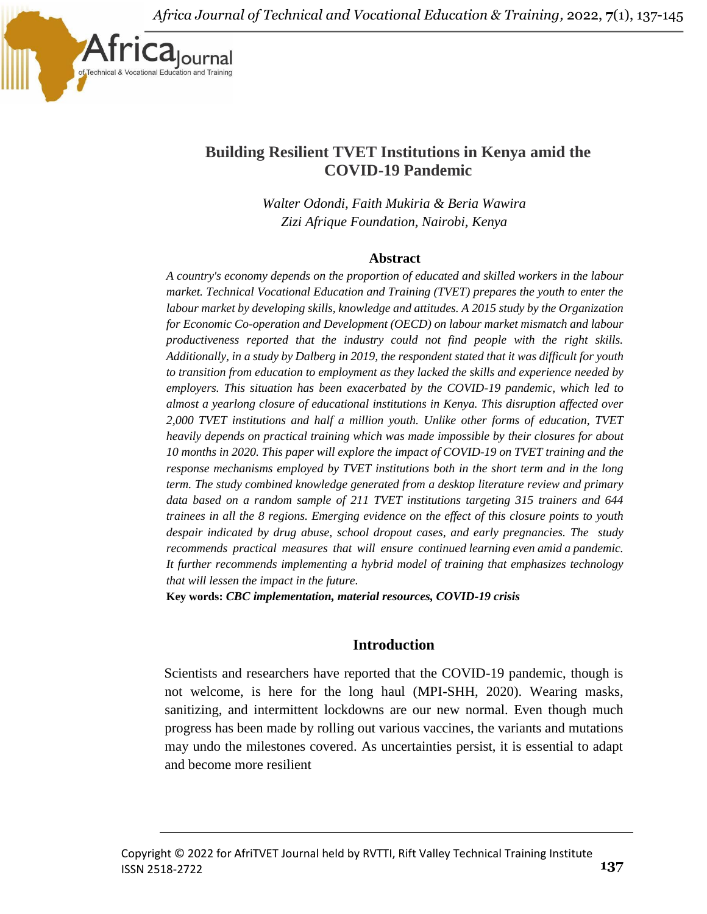

# **Building Resilient TVET Institutions in Kenya amid the COVID-19 Pandemic**

*Walter Odondi, Faith Mukiria & Beria Wawira Zizi Afrique Foundation, Nairobi, Kenya*

#### **Abstract**

*A country's economy depends on the proportion of educated and skilled workers in the labour market. Technical Vocational Education and Training (TVET) prepares the youth to enter the labour market by developing skills, knowledge and attitudes. A 2015 study by the Organization for Economic Co-operation and Development (OECD) on labour market mismatch and labour productiveness reported that the industry could not find people with the right skills. Additionally, in a study by Dalberg in 2019, the respondent stated that it was difficult for youth to transition from education to employment as they lacked the skills and experience needed by employers. This situation has been exacerbated by the COVID-19 pandemic, which led to almost a yearlong closure of educational institutions in Kenya. This disruption affected over 2,000 TVET institutions and half a million youth. Unlike other forms of education, TVET heavily depends on practical training which was made impossible by their closures for about 10 months in 2020. This paper will explore the impact of COVID-19 on TVET training and the response mechanisms employed by TVET institutions both in the short term and in the long term. The study combined knowledge generated from a desktop literature review and primary data based on a random sample of 211 TVET institutions targeting 315 trainers and 644 trainees in all the 8 regions. Emerging evidence on the effect of this closure points to youth despair indicated by drug abuse, school dropout cases, and early pregnancies. The study recommends practical measures that will ensure continued learning even amid a pandemic. It further recommends implementing a hybrid model of training that emphasizes technology that will lessen the impact in the future.*

**Key words:** *CBC implementation, material resources, COVID-19 crisis*

## **Introduction**

Scientists and researchers have reported that the COVID-19 pandemic, though is not welcome, is here for the long haul (MPI-SHH, 2020). Wearing masks, sanitizing, and intermittent lockdowns are our new normal. Even though much progress has been made by rolling out various vaccines, the variants and mutations may undo the milestones covered. As uncertainties persist, it is essential to adapt and become more resilient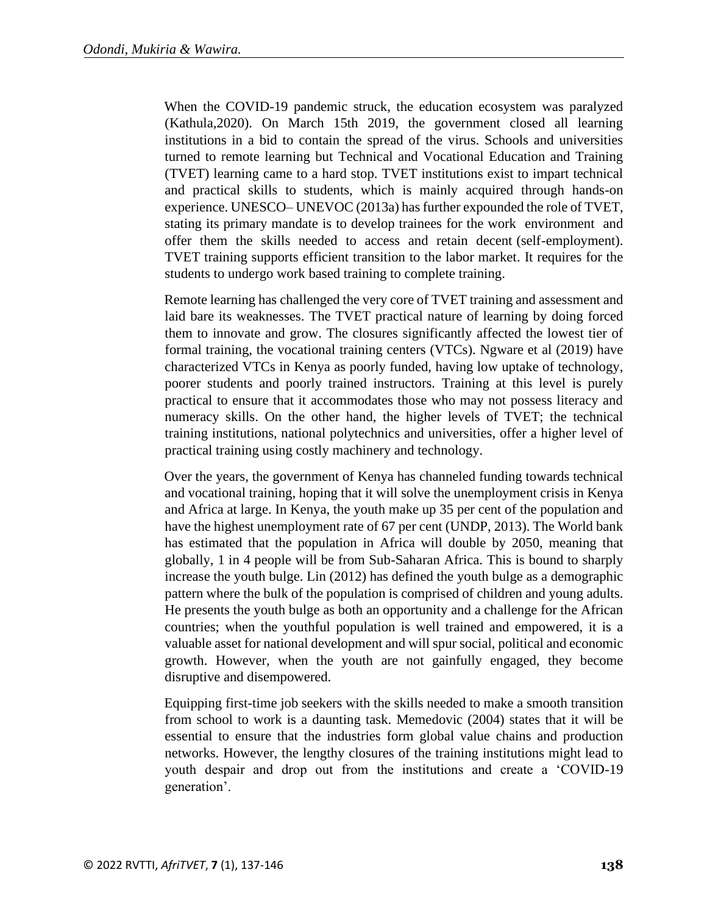When the COVID-19 pandemic struck, the education ecosystem was paralyzed (Kathula,2020). On March 15th 2019, the government closed all learning institutions in a bid to contain the spread of the virus. Schools and universities turned to remote learning but Technical and Vocational Education and Training (TVET) learning came to a hard stop. TVET institutions exist to impart technical and practical skills to students, which is mainly acquired through hands-on experience. UNESCO– UNEVOC (2013a) has further expounded the role of TVET, stating its primary mandate is to develop trainees for the work environment and offer them the skills needed to access and retain decent (self-employment). TVET training supports efficient transition to the labor market. It requires for the students to undergo work based training to complete training.

Remote learning has challenged the very core of TVET training and assessment and laid bare its weaknesses. The TVET practical nature of learning by doing forced them to innovate and grow. The closures significantly affected the lowest tier of formal training, the vocational training centers (VTCs). Ngware et al (2019) have characterized VTCs in Kenya as poorly funded, having low uptake of technology, poorer students and poorly trained instructors. Training at this level is purely practical to ensure that it accommodates those who may not possess literacy and numeracy skills. On the other hand, the higher levels of TVET; the technical training institutions, national polytechnics and universities, offer a higher level of practical training using costly machinery and technology.

Over the years, the government of Kenya has channeled funding towards technical and vocational training, hoping that it will solve the unemployment crisis in Kenya and Africa at large. In Kenya, the youth make up 35 per cent of the population and have the highest unemployment rate of 67 per cent (UNDP, 2013). The World bank has estimated that the population in Africa will double by 2050, meaning that globally, 1 in 4 people will be from Sub-Saharan Africa. This is bound to sharply increase the youth bulge. Lin (2012) has defined the youth bulge as a demographic pattern where the bulk of the population is comprised of children and young adults. He presents the youth bulge as both an opportunity and a challenge for the African countries; when the youthful population is well trained and empowered, it is a valuable asset for national development and will spur social, political and economic growth. However, when the youth are not gainfully engaged, they become disruptive and disempowered.

Equipping first-time job seekers with the skills needed to make a smooth transition from school to work is a daunting task. Memedovic (2004) states that it will be essential to ensure that the industries form global value chains and production networks. However, the lengthy closures of the training institutions might lead to youth despair and drop out from the institutions and create a 'COVID-19 generation'.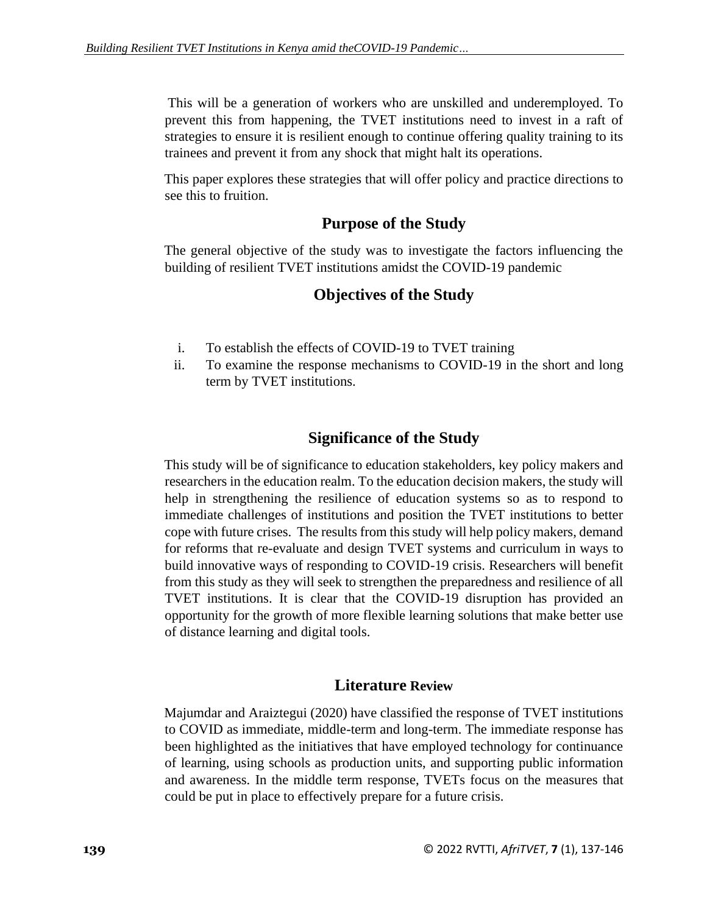This will be a generation of workers who are unskilled and underemployed. To prevent this from happening, the TVET institutions need to invest in a raft of strategies to ensure it is resilient enough to continue offering quality training to its trainees and prevent it from any shock that might halt its operations.

This paper explores these strategies that will offer policy and practice directions to see this to fruition.

## **Purpose of the Study**

The general objective of the study was to investigate the factors influencing the building of resilient TVET institutions amidst the COVID-19 pandemic

## **Objectives of the Study**

- i. To establish the effects of COVID-19 to TVET training
- ii. To examine the response mechanisms to COVID-19 in the short and long term by TVET institutions.

## **Significance of the Study**

This study will be of significance to education stakeholders, key policy makers and researchers in the education realm. To the education decision makers, the study will help in strengthening the resilience of education systems so as to respond to immediate challenges of institutions and position the TVET institutions to better cope with future crises. The results from this study will help policy makers, demand for reforms that re-evaluate and design TVET systems and curriculum in ways to build innovative ways of responding to COVID-19 crisis. Researchers will benefit from this study as they will seek to strengthen the preparedness and resilience of all TVET institutions. It is clear that the COVID-19 disruption has provided an opportunity for the growth of more flexible learning solutions that make better use of distance learning and digital tools.

## **Literature Review**

Majumdar and Araiztegui (2020) have classified the response of TVET institutions to COVID as immediate, middle-term and long-term. The immediate response has been highlighted as the initiatives that have employed technology for continuance of learning, using schools as production units, and supporting public information and awareness. In the middle term response, TVETs focus on the measures that could be put in place to effectively prepare for a future crisis.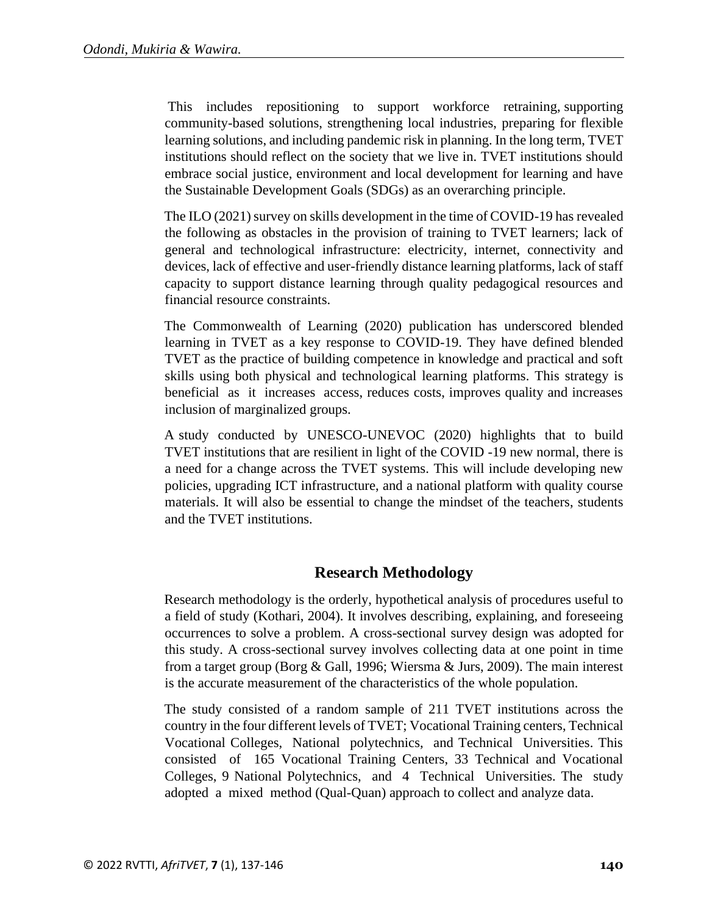This includes repositioning to support workforce retraining, supporting community-based solutions, strengthening local industries, preparing for flexible learning solutions, and including pandemic risk in planning. In the long term, TVET institutions should reflect on the society that we live in. TVET institutions should embrace social justice, environment and local development for learning and have the Sustainable Development Goals (SDGs) as an overarching principle.

The ILO (2021) survey on skills development in the time of COVID-19 has revealed the following as obstacles in the provision of training to TVET learners; lack of general and technological infrastructure: electricity, internet, connectivity and devices, lack of effective and user-friendly distance learning platforms, lack of staff capacity to support distance learning through quality pedagogical resources and financial resource constraints.

The Commonwealth of Learning (2020) publication has underscored blended learning in TVET as a key response to COVID-19. They have defined blended TVET as the practice of building competence in knowledge and practical and soft skills using both physical and technological learning platforms. This strategy is beneficial as it increases access, reduces costs, improves quality and increases inclusion of marginalized groups.

A study conducted by UNESCO-UNEVOC (2020) highlights that to build TVET institutions that are resilient in light of the COVID -19 new normal, there is a need for a change across the TVET systems. This will include developing new policies, upgrading ICT infrastructure, and a national platform with quality course materials. It will also be essential to change the mindset of the teachers, students and the TVET institutions.

## **Research Methodology**

Research methodology is the orderly, hypothetical analysis of procedures useful to a field of study (Kothari, 2004). It involves describing, explaining, and foreseeing occurrences to solve a problem. A cross-sectional survey design was adopted for this study. A cross-sectional survey involves collecting data at one point in time from a target group (Borg & Gall, 1996; Wiersma & Jurs, 2009). The main interest is the accurate measurement of the characteristics of the whole population.

The study consisted of a random sample of 211 TVET institutions across the country in the four different levels of TVET; Vocational Training centers, Technical Vocational Colleges, National polytechnics, and Technical Universities. This consisted of 165 Vocational Training Centers, 33 Technical and Vocational Colleges, 9 National Polytechnics, and 4 Technical Universities. The study adopted a mixed method (Qual-Quan) approach to collect and analyze data.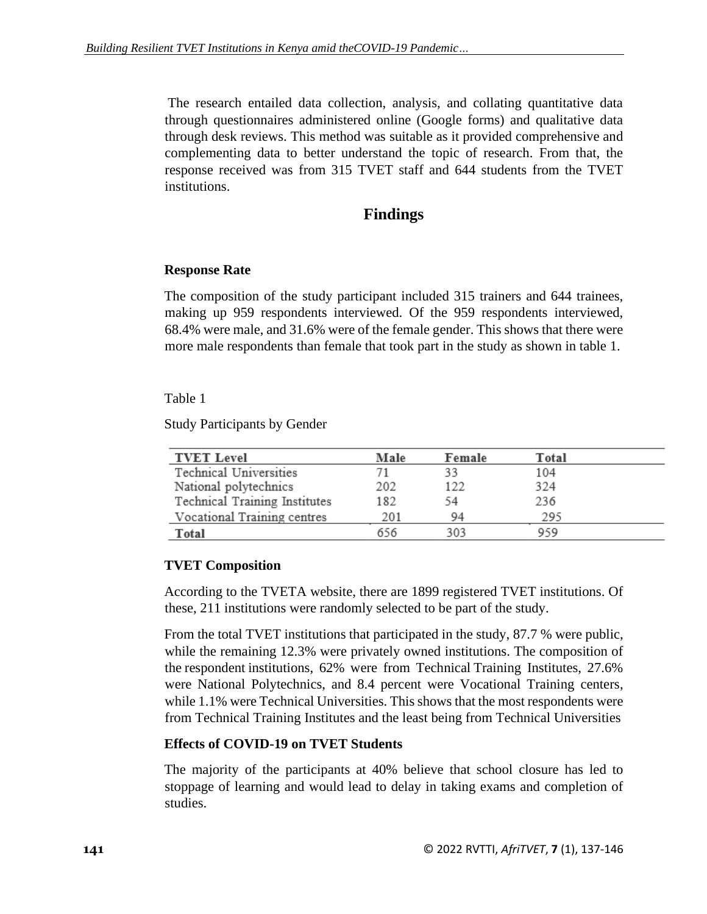The research entailed data collection, analysis, and collating quantitative data through questionnaires administered online (Google forms) and qualitative data through desk reviews. This method was suitable as it provided comprehensive and complementing data to better understand the topic of research. From that, the response received was from 315 TVET staff and 644 students from the TVET institutions.

## **Findings**

### **Response Rate**

The composition of the study participant included 315 trainers and 644 trainees, making up 959 respondents interviewed. Of the 959 respondents interviewed, 68.4% were male, and 31.6% were of the female gender. This shows that there were more male respondents than female that took part in the study as shown in table 1.

### Table 1

Study Participants by Gender

| <b>TVET Level</b>             | Male | Female | Total |  |
|-------------------------------|------|--------|-------|--|
| Technical Universities        |      | 33     | 104   |  |
| National polytechnics         | 202  | 122    | 324   |  |
| Technical Training Institutes | 182  | -54    | 236   |  |
| Vocational Training centres   | 201  | 94     | 295   |  |
| Total                         | 656  | 303    | 959   |  |

### **TVET Composition**

According to the TVETA website, there are 1899 registered TVET institutions. Of these, 211 institutions were randomly selected to be part of the study.

From the total TVET institutions that participated in the study, 87.7 % were public, while the remaining 12.3% were privately owned institutions. The composition of the respondent institutions, 62% were from Technical Training Institutes, 27.6% were National Polytechnics, and 8.4 percent were Vocational Training centers, while 1.1% were Technical Universities. This shows that the most respondents were from Technical Training Institutes and the least being from Technical Universities

### **Effects of COVID-19 on TVET Students**

The majority of the participants at 40% believe that school closure has led to stoppage of learning and would lead to delay in taking exams and completion of studies.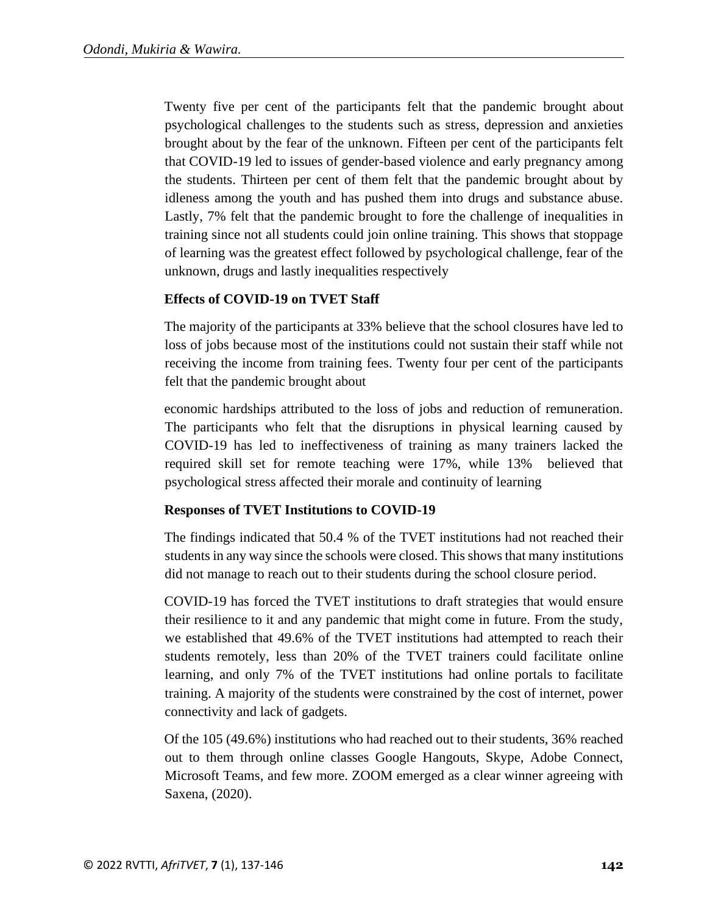Twenty five per cent of the participants felt that the pandemic brought about psychological challenges to the students such as stress, depression and anxieties brought about by the fear of the unknown. Fifteen per cent of the participants felt that COVID-19 led to issues of gender-based violence and early pregnancy among the students. Thirteen per cent of them felt that the pandemic brought about by idleness among the youth and has pushed them into drugs and substance abuse. Lastly, 7% felt that the pandemic brought to fore the challenge of inequalities in training since not all students could join online training. This shows that stoppage of learning was the greatest effect followed by psychological challenge, fear of the unknown, drugs and lastly inequalities respectively

### **Effects of COVID-19 on TVET Staff**

The majority of the participants at 33% believe that the school closures have led to loss of jobs because most of the institutions could not sustain their staff while not receiving the income from training fees. Twenty four per cent of the participants felt that the pandemic brought about

economic hardships attributed to the loss of jobs and reduction of remuneration. The participants who felt that the disruptions in physical learning caused by COVID-19 has led to ineffectiveness of training as many trainers lacked the required skill set for remote teaching were 17%, while 13% believed that psychological stress affected their morale and continuity of learning

### **Responses of TVET Institutions to COVID-19**

The findings indicated that 50.4 % of the TVET institutions had not reached their students in any way since the schools were closed. This shows that many institutions did not manage to reach out to their students during the school closure period.

COVID-19 has forced the TVET institutions to draft strategies that would ensure their resilience to it and any pandemic that might come in future. From the study, we established that 49.6% of the TVET institutions had attempted to reach their students remotely, less than 20% of the TVET trainers could facilitate online learning, and only 7% of the TVET institutions had online portals to facilitate training. A majority of the students were constrained by the cost of internet, power connectivity and lack of gadgets.

Of the 105 (49.6%) institutions who had reached out to their students, 36% reached out to them through online classes Google Hangouts, Skype, Adobe Connect, Microsoft Teams, and few more. ZOOM emerged as a clear winner agreeing with Saxena, (2020).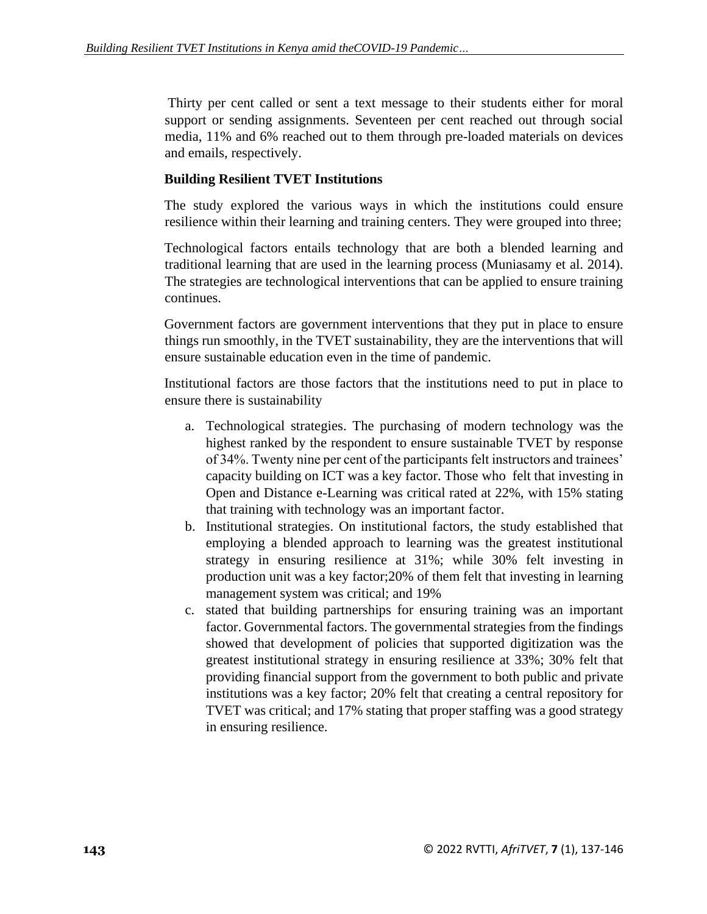Thirty per cent called or sent a text message to their students either for moral support or sending assignments. Seventeen per cent reached out through social media, 11% and 6% reached out to them through pre-loaded materials on devices and emails, respectively.

### **Building Resilient TVET Institutions**

The study explored the various ways in which the institutions could ensure resilience within their learning and training centers. They were grouped into three;

Technological factors entails technology that are both a blended learning and traditional learning that are used in the learning process (Muniasamy et al. 2014). The strategies are technological interventions that can be applied to ensure training continues.

Government factors are government interventions that they put in place to ensure things run smoothly, in the TVET sustainability, they are the interventions that will ensure sustainable education even in the time of pandemic.

Institutional factors are those factors that the institutions need to put in place to ensure there is sustainability

- a. Technological strategies. The purchasing of modern technology was the highest ranked by the respondent to ensure sustainable TVET by response of 34%. Twenty nine per cent of the participants felt instructors and trainees' capacity building on ICT was a key factor. Those who felt that investing in Open and Distance e-Learning was critical rated at 22%, with 15% stating that training with technology was an important factor.
- b. Institutional strategies. On institutional factors, the study established that employing a blended approach to learning was the greatest institutional strategy in ensuring resilience at 31%; while 30% felt investing in production unit was a key factor;20% of them felt that investing in learning management system was critical; and 19%
- c. stated that building partnerships for ensuring training was an important factor. Governmental factors. The governmental strategies from the findings showed that development of policies that supported digitization was the greatest institutional strategy in ensuring resilience at 33%; 30% felt that providing financial support from the government to both public and private institutions was a key factor; 20% felt that creating a central repository for TVET was critical; and 17% stating that proper staffing was a good strategy in ensuring resilience.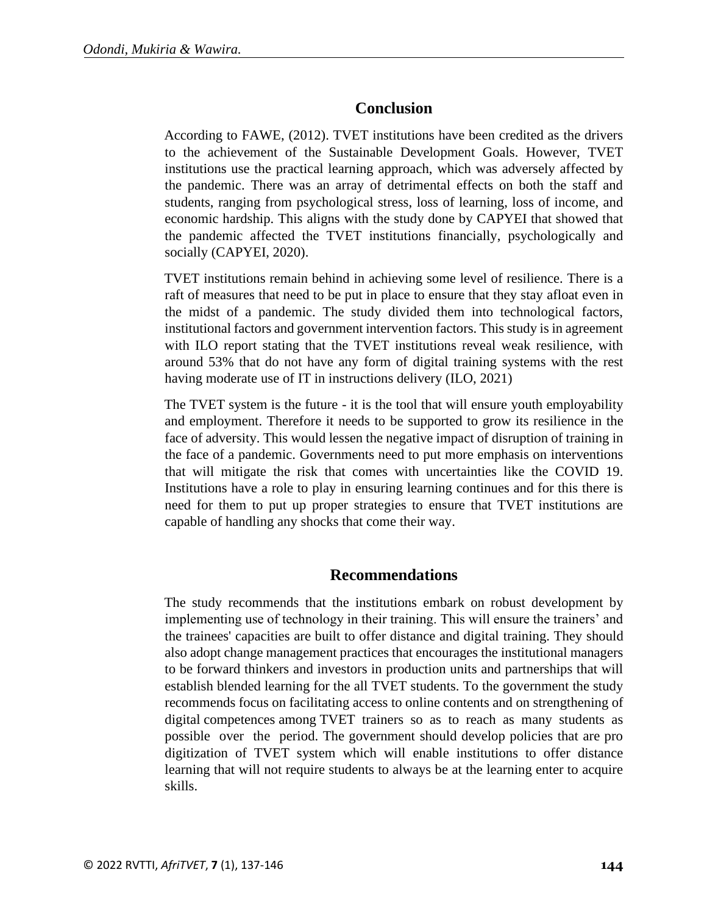## **Conclusion**

According to FAWE, (2012). TVET institutions have been credited as the drivers to the achievement of the Sustainable Development Goals. However, TVET institutions use the practical learning approach, which was adversely affected by the pandemic. There was an array of detrimental effects on both the staff and students, ranging from psychological stress, loss of learning, loss of income, and economic hardship. This aligns with the study done by CAPYEI that showed that the pandemic affected the TVET institutions financially, psychologically and socially (CAPYEI, 2020).

TVET institutions remain behind in achieving some level of resilience. There is a raft of measures that need to be put in place to ensure that they stay afloat even in the midst of a pandemic. The study divided them into technological factors, institutional factors and government intervention factors. This study is in agreement with ILO report stating that the TVET institutions reveal weak resilience, with around 53% that do not have any form of digital training systems with the rest having moderate use of IT in instructions delivery (ILO, 2021)

The TVET system is the future - it is the tool that will ensure youth employability and employment. Therefore it needs to be supported to grow its resilience in the face of adversity. This would lessen the negative impact of disruption of training in the face of a pandemic. Governments need to put more emphasis on interventions that will mitigate the risk that comes with uncertainties like the COVID 19. Institutions have a role to play in ensuring learning continues and for this there is need for them to put up proper strategies to ensure that TVET institutions are capable of handling any shocks that come their way.

## **Recommendations**

The study recommends that the institutions embark on robust development by implementing use of technology in their training. This will ensure the trainers' and the trainees' capacities are built to offer distance and digital training. They should also adopt change management practices that encourages the institutional managers to be forward thinkers and investors in production units and partnerships that will establish blended learning for the all TVET students. To the government the study recommends focus on facilitating access to online contents and on strengthening of digital competences among TVET trainers so as to reach as many students as possible over the period. The government should develop policies that are pro digitization of TVET system which will enable institutions to offer distance learning that will not require students to always be at the learning enter to acquire skills.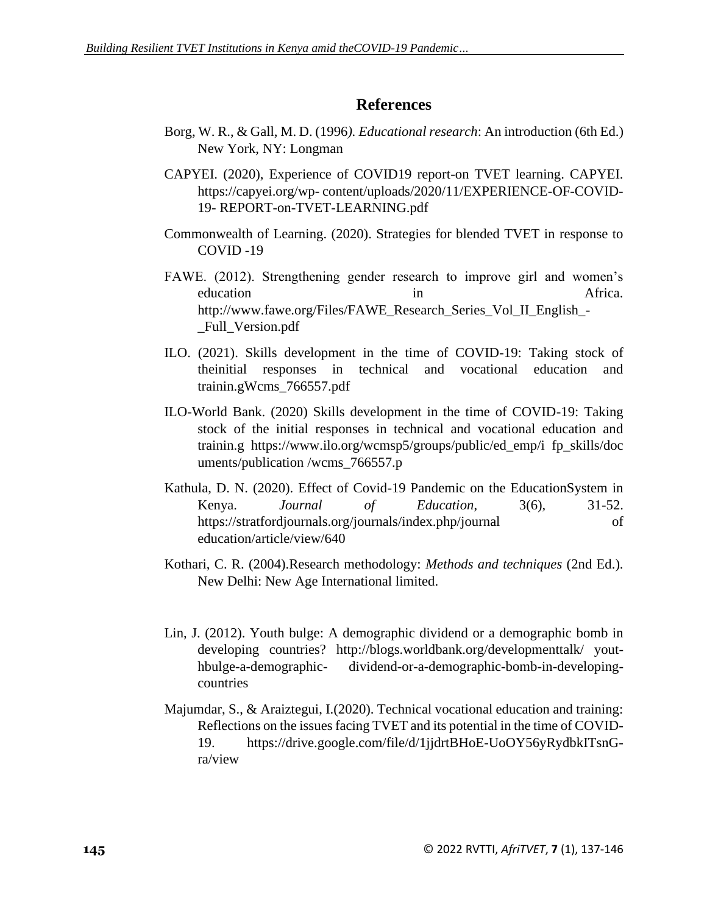## **References**

- Borg, W. R., & Gall, M. D. (1996*). Educational research*: An introduction (6th Ed.) New York, NY: Longman
- CAPYEI. (2020), Experience of COVID19 report-on TVET learning. CAPYEI. https://capyei.org/wp- content/uploads/2020/11/EXPERIENCE-OF-COVID-19- REPORT-on-TVET-LEARNING.pdf
- Commonwealth of Learning. (2020). Strategies for blended TVET in response to COVID -19
- FAWE. (2012). Strengthening gender research to improve girl and women's education in the Africa. http://www.fawe.org/Files/FAWE\_Research\_Series\_Vol\_II\_English\_- Full\_Version.pdf
- ILO. (2021). Skills development in the time of COVID-19: Taking stock of theinitial responses in technical and vocational education and trainin.gWcms\_766557.pdf
- ILO-World Bank. (2020) Skills development in the time of COVID-19: Taking stock of the initial responses in technical and vocational education and trainin.g https://www.ilo.org/wcmsp5/groups/public/ed\_emp/i fp\_skills/doc uments/publication /wcms\_766557.p
- Kathula, D. N. (2020). Effect of Covid-19 Pandemic on the EducationSystem in Kenya. *Journal of Education*, 3(6), 31-52. https://stratfordjournals.org/journals/index.php/journal of education/article/view/640
- Kothari, C. R. (2004).Research methodology: *Methods and techniques* (2nd Ed.). New Delhi: New Age International limited.
- Lin, J. (2012). Youth bulge: A demographic dividend or a demographic bomb in developing countries? http://blogs.worldbank.org/developmenttalk/ youthbulge-a-demographic- dividend-or-a-demographic-bomb-in-developingcountries
- Majumdar, S., & Araiztegui, I.(2020). Technical vocational education and training: Reflections on the issues facing TVET and its potential in the time of COVID-19. https://drive.google.com/file/d/1jjdrtBHoE-UoOY56yRydbkITsnGra/view